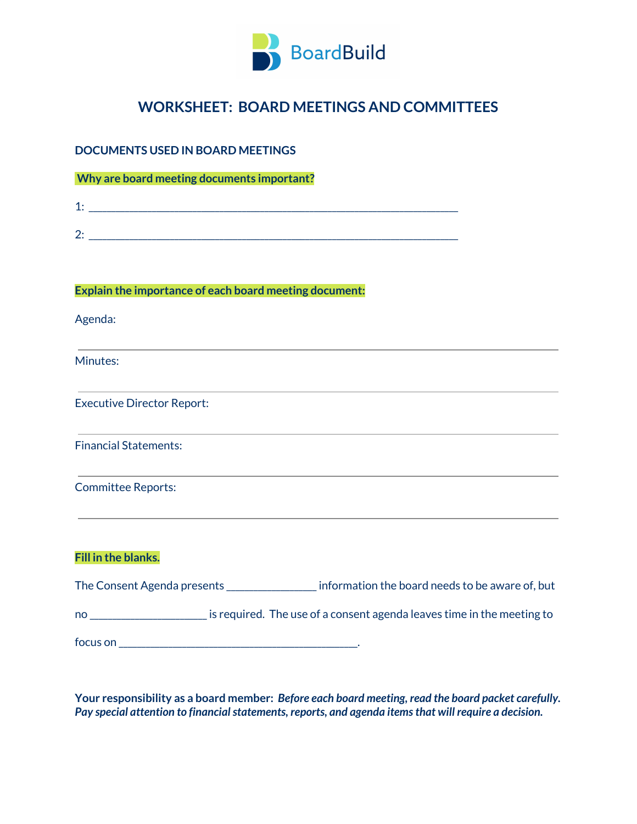

# **WORKSHEET: BOARD MEETINGS AND COMMITTEES**

# **DOCUMENTS USED IN BOARD MEETINGS**

**Why are board meeting documents important?**

| ▰<br>- |  |  |  |
|--------|--|--|--|
|        |  |  |  |
| ∼<br>_ |  |  |  |

#### **Explain the importance of each board meeting document:**

Agenda:

Minutes:

Executive Director Report:

Financial Statements:

Committee Reports:

#### **Fill in the blanks.**

| The Consent Agenda presents | information the board needs to be aware of, but                        |  |
|-----------------------------|------------------------------------------------------------------------|--|
| no                          | is required. The use of a consent agenda leaves time in the meeting to |  |
| focus on                    |                                                                        |  |

**Your responsibility as a board member:** *Before each board meeting, read the board packet carefully. Pay* special attention to financial statements, reports, and agenda items that will require a decision.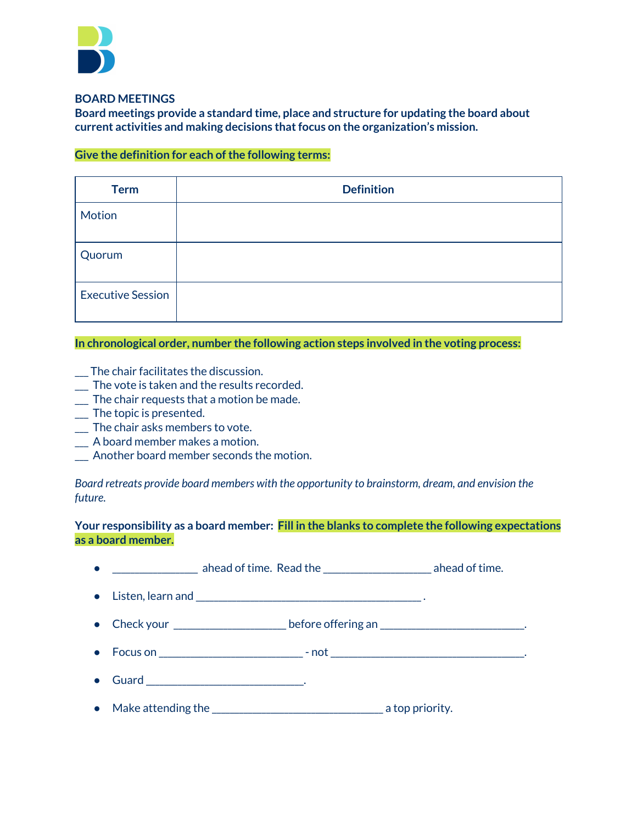

**BOARD MEETINGS**

**Board meetings provide a standard time, place and structure for updating the board about current activities and making decisions thatfocus on the organization's mission.**

## **Give the definition for each ofthe following terms:**

| <b>Term</b>              | <b>Definition</b> |
|--------------------------|-------------------|
| Motion                   |                   |
| Quorum                   |                   |
| <b>Executive Session</b> |                   |

#### **In chronological order, number the following action steps involved in the voting process:**

- \_\_\_ The chair facilitates the discussion.
- \_\_\_ The vote is taken and the results recorded.
- \_\_\_ The chair requests that a motion be made.
- \_\_\_ The topic is presented.
- \_\_\_ The chair asks members to vote.
- \_\_\_ A board member makes a motion.
- \_\_\_ Another board member seconds the motion.

*Board retreats provide board members with the opportunity to brainstorm, dream, and envision the future.*

#### **Your responsibility as a board member: Fill in the blanks to complete the following expectations as a board member.**

| ______________________ ahead of time. Read the ____________________________ ahead of time. |  |  |  |
|--------------------------------------------------------------------------------------------|--|--|--|
|                                                                                            |  |  |  |
| • Check your ___________________________before offering an __________________________.     |  |  |  |
| • Focus on ______________________________- not _________________________________           |  |  |  |
|                                                                                            |  |  |  |
| • Make attending the $\sqrt{ }$ a top priority.                                            |  |  |  |